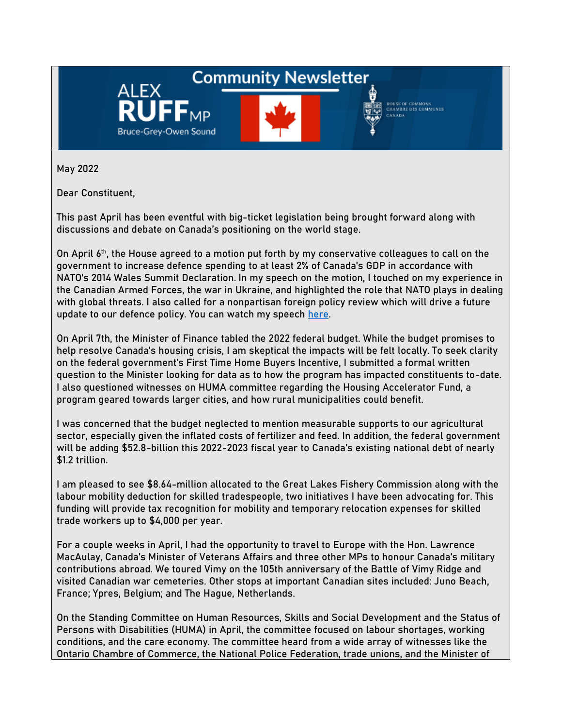## **Community Newsletter**



HOUSE OF COMMONS<br>CHAMBRE DES COMMUNES **AMADA** 

May 2022

Dear Constituent,

ALEX

Bruce-Grey-Owen Sound

This past April has been eventful with big-ticket legislation being brought forward along with discussions and debate on Canada's positioning on the world stage.

On April 6<sup>th</sup>, the House agreed to a motion put forth by my conservative colleagues to call on the government to increase defence spending to at least 2% of Canada's GDP in accordance with NATO's 2014 Wales Summit Declaration. In my speech on the motion, I touched on my experience in the Canadian Armed Forces, the war in Ukraine, and highlighted the role that NATO plays in dealing with global threats. I also called for a nonpartisan foreign policy review which will drive a future update to our defence policy. You can watch my speech [here.](https://youtu.be/xYYnwLAw-xU)

On April 7th, the Minister of Finance tabled the 2022 federal budget. While the budget promises to help resolve Canada's housing crisis, I am skeptical the impacts will be felt locally. To seek clarity on the federal government's First Time Home Buyers Incentive, I submitted a formal written question to the Minister looking for data as to how the program has impacted constituents to-date. I also questioned witnesses on HUMA committee regarding the Housing Accelerator Fund, a program geared towards larger cities, and how rural municipalities could benefit.

I was concerned that the budget neglected to mention measurable supports to our agricultural sector, especially given the inflated costs of fertilizer and feed. In addition, the federal government will be adding \$52.8-billion this 2022-2023 fiscal year to Canada's existing national debt of nearly \$1.2 trillion.

I am pleased to see \$8.64-million allocated to the Great Lakes Fishery Commission along with the labour mobility deduction for skilled tradespeople, two initiatives I have been advocating for. This funding will provide tax recognition for mobility and temporary relocation expenses for skilled trade workers up to \$4,000 per year.

For a couple weeks in April, I had the opportunity to travel to Europe with the Hon. Lawrence MacAulay, Canada's Minister of Veterans Affairs and three other MPs to honour Canada's military contributions abroad. We toured Vimy on the 105th anniversary of the Battle of Vimy Ridge and visited Canadian war cemeteries. Other stops at important Canadian sites included: Juno Beach, France; Ypres, Belgium; and The Hague, Netherlands.

On the Standing Committee on Human Resources, Skills and Social Development and the Status of Persons with Disabilities (HUMA) in April, the committee focused on labour shortages, working conditions, and the care economy. The committee heard from a wide array of witnesses like the Ontario Chambre of Commerce, the National Police Federation, trade unions, and the Minister of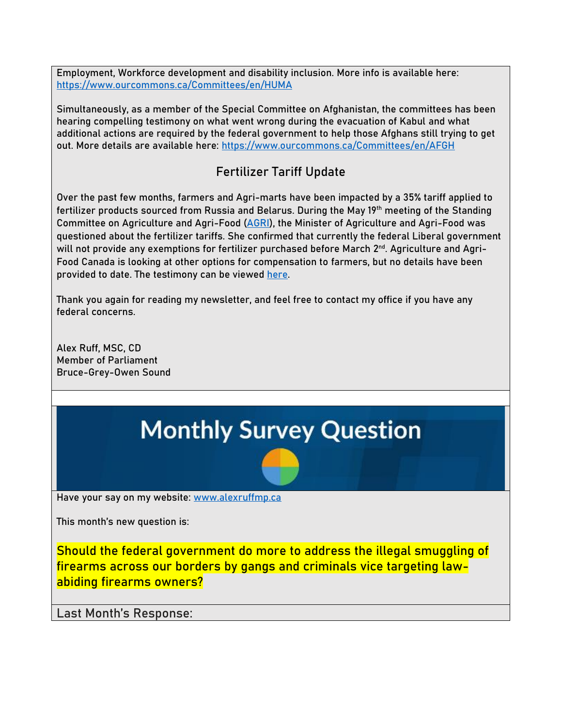Employment, Workforce development and disability inclusion. More info is available here: <https://www.ourcommons.ca/Committees/en/HUMA>

Simultaneously, as a member of the Special Committee on Afghanistan, the committees has been hearing compelling testimony on what went wrong during the evacuation of Kabul and what additional actions are required by the federal government to help those Afghans still trying to get out. More details are available here:<https://www.ourcommons.ca/Committees/en/AFGH>

## **Fertilizer Tariff Update**

Over the past few months, farmers and Agri-marts have been impacted by a 35% tariff applied to fertilizer products sourced from Russia and Belarus. During the May 19th meeting of the Standing Committee on Agriculture and Agri-Food [\(AGRI\)](https://www.ourcommons.ca/Committees/en/AGRI/Meetings), the Minister of Agriculture and Agri-Food was questioned about the fertilizer tariffs. She confirmed that currently the federal Liberal government will not provide any exemptions for fertilizer purchased before March 2<sup>nd</sup>. Agriculture and Agri-Food Canada is looking at other options for compensation to farmers, but no details have been provided to date. The testimony can be viewed [here.](https://parlvu.parl.gc.ca/Harmony/en/PowerBrowser/PowerBrowserV2/20220526/-1/37089?mediaStartTime=20220519160605&mediaEndTime=20220519160838&viewMode=3&globalStreamId=14)

Thank you again for reading my newsletter, and feel free to contact my office if you have any federal concerns.

Alex Ruff, MSC, CD Member of Parliament Bruce-Grey-Owen Sound

# **Monthly Survey Question**

Have your say on my website: [www.alexruffmp.ca](http://www.alexruffmp.ca/)

This month's new question is:

**Should the federal government do more to address the illegal smuggling of firearms across our borders by gangs and criminals vice targeting lawabiding firearms owners?**

**Last Month's Response:**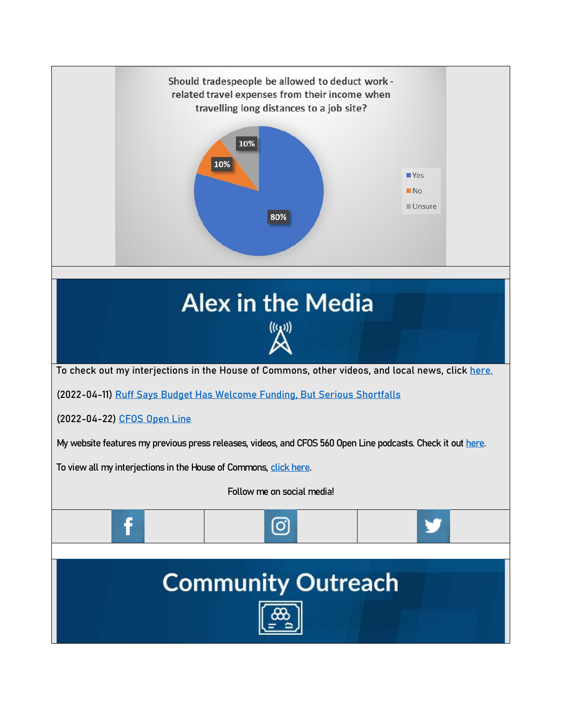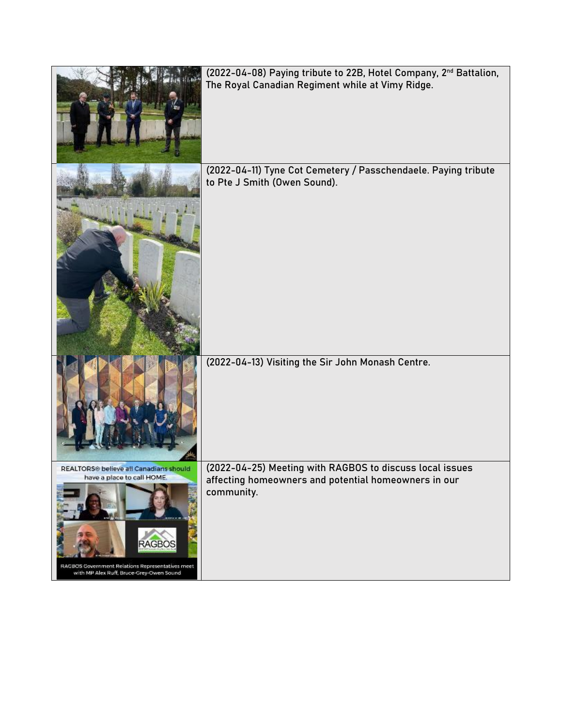|                                                                                                                                                                                                   | (2022-04-08) Paying tribute to 22B, Hotel Company, 2 <sup>nd</sup> Battalion,<br>The Royal Canadian Regiment while at Vimy Ridge. |
|---------------------------------------------------------------------------------------------------------------------------------------------------------------------------------------------------|-----------------------------------------------------------------------------------------------------------------------------------|
|                                                                                                                                                                                                   | (2022-04-11) Tyne Cot Cemetery / Passchendaele. Paying tribute<br>to Pte J Smith (Owen Sound).                                    |
|                                                                                                                                                                                                   | (2022-04-13) Visiting the Sir John Monash Centre.                                                                                 |
| REALTORS <sup>®</sup> believe all Canadians should<br>have a place to call HOME.<br><b>RAGBOS</b><br>RAGBOS Government Relations Representatives meet<br>with MP Alex Ruff, Bruce-Grey-Owen Sound | (2022-04-25) Meeting with RAGBOS to discuss local issues<br>affecting homeowners and potential homeowners in our<br>community.    |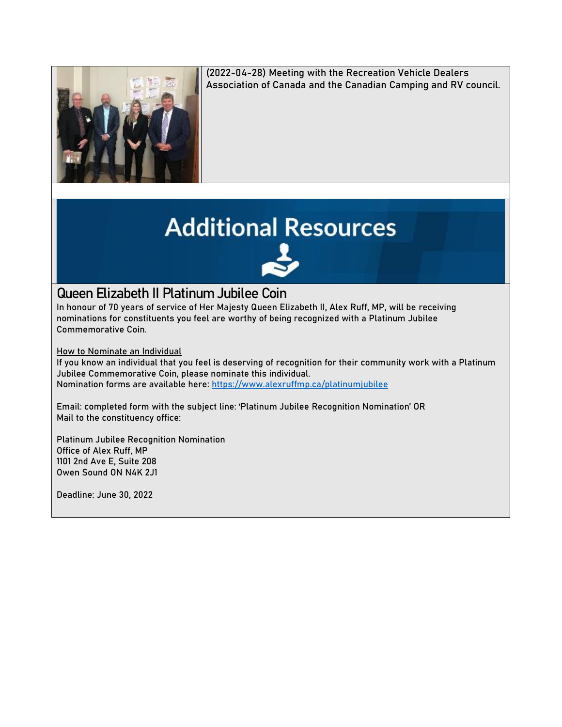

(2022-04-28) Meeting with the Recreation Vehicle Dealers Association of Canada and the Canadian Camping and RV council.

# **Additional Resources**

### **Queen Elizabeth II Platinum Jubilee Coin**

In honour of 70 years of service of Her Majesty Queen Elizabeth II, Alex Ruff, MP, will be receiving nominations for constituents you feel are worthy of being recognized with a Platinum Jubilee Commemorative Coin.

**How to Nominate an Individual**

If you know an individual that you feel is deserving of recognition for their community work with a Platinum Jubilee Commemorative Coin, please nominate this individual. Nomination forms are available here:<https://www.alexruffmp.ca/platinumjubilee>

Email: completed form with the subject line: 'Platinum Jubilee Recognition Nomination' OR Mail to the constituency office:

Platinum Jubilee Recognition Nomination Office of Alex Ruff, MP 1101 2nd Ave E, Suite 208 Owen Sound ON N4K 2J1

**Deadline: June 30, 2022**